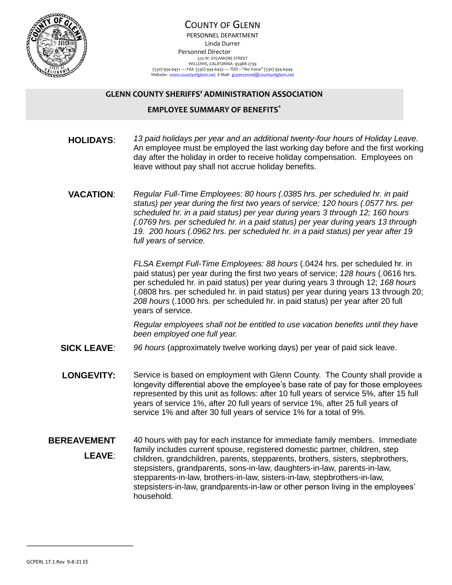

## COUNTY OF GLENN PERSONNEL DEPARTMENT Linda Durrer Personnel Director 525 W. SYCAMORE STREET WILLOWS, CALIFORNIA 95988-2739<br>(530) 934-6451 — FAX (530) 93464652 — TDD - "No Voice" (530) 934-6444<br>Website: <u>www.countyofglenn.net</u> E-Mail: <u>gcpersonnel@countyofglenn.net</u>

## **GLENN COUNTY SHERIFFS' ADMINISTRATION ASSOCIATION**

## **EMPLOYEE SUMMARY OF BENEFITS\***

- **HOLIDAYS**: *13 paid holidays per year and an additional twenty-four hours of Holiday Leave.* An employee must be employed the last working day before and the first working day after the holiday in order to receive holiday compensation. Employees on leave without pay shall not accrue holiday benefits.
- **VACATION**: *Regular Full-Time Employees: 80 hours (.0385 hrs. per scheduled hr. in paid status) per year during the first two years of service; 120 hours (.0577 hrs. per scheduled hr. in a paid status) per year during years 3 through 12; 160 hours (.0769 hrs. per scheduled hr. in a paid status) per year during years 13 through 19. 200 hours (.0962 hrs. per scheduled hr. in a paid status) per year after 19 full years of service.*

*FLSA Exempt Full-Time Employees: 88 hours* (.0424 hrs. per scheduled hr. in paid status) per year during the first two years of service; *128 hours* (.0616 hrs. per scheduled hr. in paid status) per year during years 3 through 12; *168 hours* (.0808 hrs. per scheduled hr. in paid status) per year during years 13 through 20; *208 hours* (.1000 hrs. per scheduled hr. in paid status) per year after 20 full years of service.

*Regular employees shall not be entitled to use vacation benefits until they have been employed one full year.*

- **SICK LEAVE**: *96 hours* (approximately twelve working days) per year of paid sick leave.
- **LONGEVITY:** Service is based on employment with Glenn County. The County shall provide a longevity differential above the employee's base rate of pay for those employees represented by this unit as follows: after 10 full years of service 5%, after 15 full years of service 1%, after 20 full years of service 1%, after 25 full years of service 1% and after 30 full years of service 1% for a total of 9%.

## **BEREAVEMENT LEAVE**: 40 hours with pay for each instance for immediate family members. Immediate family includes current spouse, registered domestic partner, children, step children, grandchildren, parents, stepparents, brothers, sisters, stepbrothers, stepsisters, grandparents, sons-in-law, daughters-in-law, parents-in-law, stepparents-in-law, brothers-in-law, sisters-in-law, stepbrothers-in-law, stepsisters-in-law, grandparents-in-law or other person living in the employees' household.